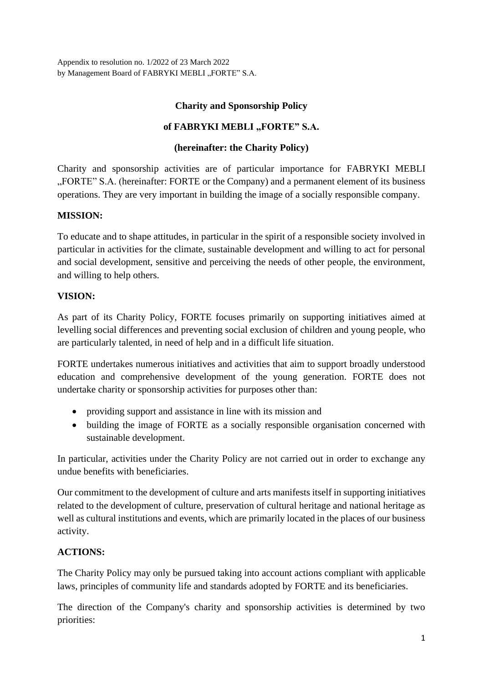Appendix to resolution no. 1/2022 of 23 March 2022 by Management Board of FABRYKI MEBLI "FORTE" S.A.

### **Charity and Sponsorship Policy**

### of **FABRYKI** MEBLI "FORTE" S.A.

### **(hereinafter: the Charity Policy)**

Charity and sponsorship activities are of particular importance for FABRYKI MEBLI "FORTE" S.A. (hereinafter: FORTE or the Company) and a permanent element of its business operations. They are very important in building the image of a socially responsible company.

#### **MISSION:**

To educate and to shape attitudes, in particular in the spirit of a responsible society involved in particular in activities for the climate, sustainable development and willing to act for personal and social development, sensitive and perceiving the needs of other people, the environment, and willing to help others.

#### **VISION:**

As part of its Charity Policy, FORTE focuses primarily on supporting initiatives aimed at levelling social differences and preventing social exclusion of children and young people, who are particularly talented, in need of help and in a difficult life situation.

FORTE undertakes numerous initiatives and activities that aim to support broadly understood education and comprehensive development of the young generation. FORTE does not undertake charity or sponsorship activities for purposes other than:

- providing support and assistance in line with its mission and
- building the image of FORTE as a socially responsible organisation concerned with sustainable development.

In particular, activities under the Charity Policy are not carried out in order to exchange any undue benefits with beneficiaries.

Our commitment to the development of culture and arts manifests itself in supporting initiatives related to the development of culture, preservation of cultural heritage and national heritage as well as cultural institutions and events, which are primarily located in the places of our business activity.

#### **ACTIONS:**

The Charity Policy may only be pursued taking into account actions compliant with applicable laws, principles of community life and standards adopted by FORTE and its beneficiaries.

The direction of the Company's charity and sponsorship activities is determined by two priorities: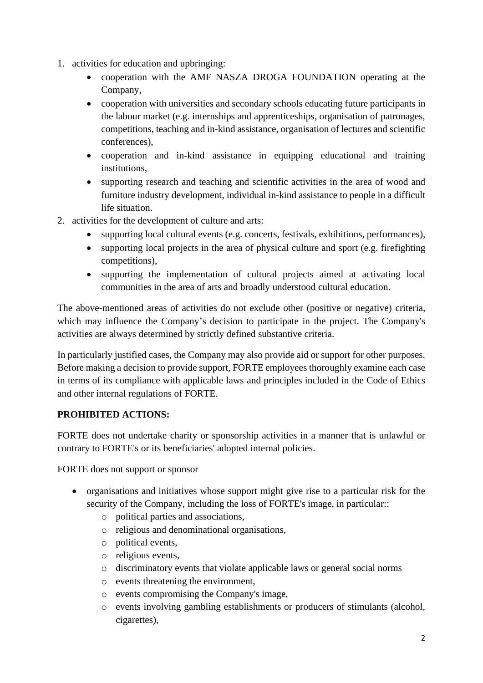- 1. activities for education and upbringing:
	- cooperation with the AMF NASZA DROGA FOUNDATION operating at the Company,
	- cooperation with universities and secondary schools educating future participants in the labour market (e.g. internships and apprenticeships, organisation of patronages, competitions, teaching and in-kind assistance, organisation of lectures and scientific conferences),
	- cooperation and in-kind assistance in equipping educational and training institutions,
	- supporting research and teaching and scientific activities in the area of wood and furniture industry development, individual in-kind assistance to people in a difficult life situation.
- 2. activities for the development of culture and arts:
	- supporting local cultural events (e.g. concerts, festivals, exhibitions, performances),
	- supporting local projects in the area of physical culture and sport (e.g. firefighting competitions),
	- supporting the implementation of cultural projects aimed at activating local communities in the area of arts and broadly understood cultural education.

The above-mentioned areas of activities do not exclude other (positive or negative) criteria, which may influence the Company's decision to participate in the project. The Company's activities are always determined by strictly defined substantive criteria.

In particularly justified cases, the Company may also provide aid or support for other purposes. Before making a decision to provide support, FORTE employees thoroughly examine each case in terms of its compliance with applicable laws and principles included in the Code of Ethics and other internal regulations of FORTE.

# **PROHIBITED ACTIONS:**

FORTE does not undertake charity or sponsorship activities in a manner that is unlawful or contrary to FORTE's or its beneficiaries' adopted internal policies.

FORTE does not support or sponsor

- organisations and initiatives whose support might give rise to a particular risk for the security of the Company, including the loss of FORTE's image, in particular::
	- o political parties and associations,
	- o religious and denominational organisations,
	- o political events,
	- o religious events,
	- o discriminatory events that violate applicable laws or general social norms
	- o events threatening the environment,
	- o events compromising the Company's image,
	- o events involving gambling establishments or producers of stimulants (alcohol, cigarettes),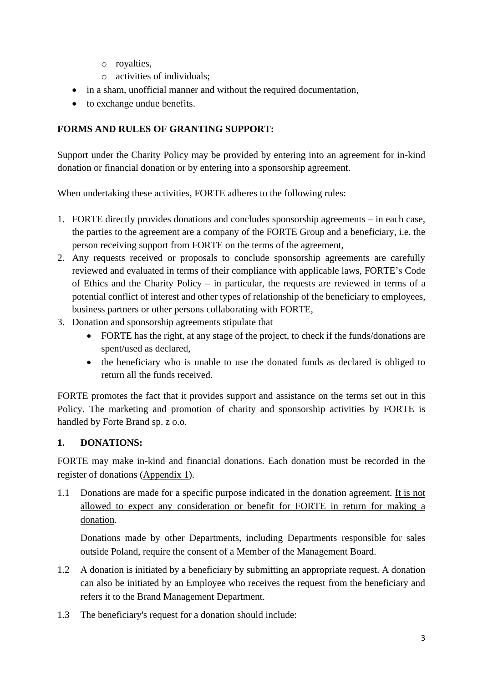- o royalties,
- o activities of individuals;
- in a sham, unofficial manner and without the required documentation,
- to exchange undue benefits.

# **FORMS AND RULES OF GRANTING SUPPORT:**

Support under the Charity Policy may be provided by entering into an agreement for in-kind donation or financial donation or by entering into a sponsorship agreement.

When undertaking these activities, FORTE adheres to the following rules:

- 1. FORTE directly provides donations and concludes sponsorship agreements in each case, the parties to the agreement are a company of the FORTE Group and a beneficiary, i.e. the person receiving support from FORTE on the terms of the agreement,
- 2. Any requests received or proposals to conclude sponsorship agreements are carefully reviewed and evaluated in terms of their compliance with applicable laws, FORTE's Code of Ethics and the Charity Policy – in particular, the requests are reviewed in terms of a potential conflict of interest and other types of relationship of the beneficiary to employees, business partners or other persons collaborating with FORTE,
- 3. Donation and sponsorship agreements stipulate that
	- FORTE has the right, at any stage of the project, to check if the funds/donations are spent/used as declared,
	- the beneficiary who is unable to use the donated funds as declared is obliged to return all the funds received.

FORTE promotes the fact that it provides support and assistance on the terms set out in this Policy. The marketing and promotion of charity and sponsorship activities by FORTE is handled by Forte Brand sp. z o.o.

#### **1. DONATIONS:**

FORTE may make in-kind and financial donations. Each donation must be recorded in the register of donations (Appendix 1).

1.1 Donations are made for a specific purpose indicated in the donation agreement. It is not allowed to expect any consideration or benefit for FORTE in return for making a donation.

Donations made by other Departments, including Departments responsible for sales outside Poland, require the consent of a Member of the Management Board.

- 1.2 A donation is initiated by a beneficiary by submitting an appropriate request. A donation can also be initiated by an Employee who receives the request from the beneficiary and refers it to the Brand Management Department.
- 1.3 The beneficiary's request for a donation should include: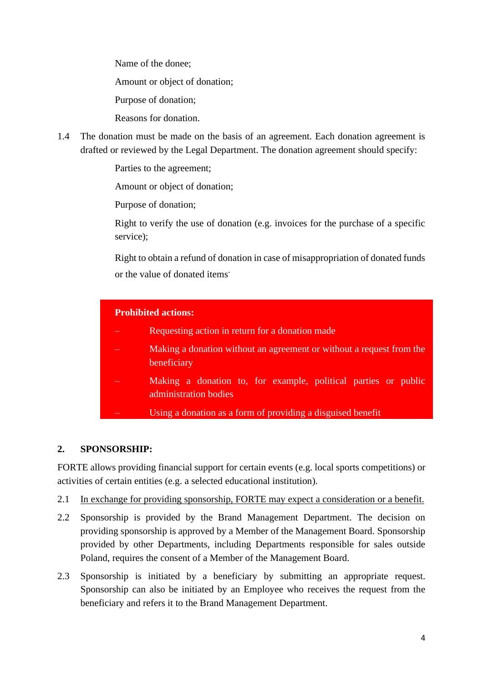Name of the donee;

– Amount or object of donation;

– Purpose of donation;

– Reasons for donation.

1.4 The donation must be made on the basis of an agreement. Each donation agreement is drafted or reviewed by the Legal Department. The donation agreement should specify:

Parties to the agreement;

– Amount or object of donation;

Purpose of donation;

– Right to verify the use of donation (e.g. invoices for the purchase of a specific service);

– Right to obtain a refund of donation in case of misappropriation of donated funds or the value of donated items.

| <b>Prohibited actions:</b> |                                                                                         |  |  |  |  |  |
|----------------------------|-----------------------------------------------------------------------------------------|--|--|--|--|--|
|                            | Requesting action in return for a donation made                                         |  |  |  |  |  |
|                            | Making a donation without an agreement or without a request from the<br>beneficiary     |  |  |  |  |  |
|                            | Making a donation to, for example, political parties or public<br>administration bodies |  |  |  |  |  |
|                            | Using a donation as a form of providing a disguised benefit                             |  |  |  |  |  |

# **2. SPONSORSHIP:**

FORTE allows providing financial support for certain events (e.g. local sports competitions) or activities of certain entities (e.g. a selected educational institution).

- 2.1 In exchange for providing sponsorship, FORTE may expect a consideration or a benefit.
- 2.2 Sponsorship is provided by the Brand Management Department. The decision on providing sponsorship is approved by a Member of the Management Board. Sponsorship provided by other Departments, including Departments responsible for sales outside Poland, requires the consent of a Member of the Management Board.
- 2.3 Sponsorship is initiated by a beneficiary by submitting an appropriate request. Sponsorship can also be initiated by an Employee who receives the request from the beneficiary and refers it to the Brand Management Department.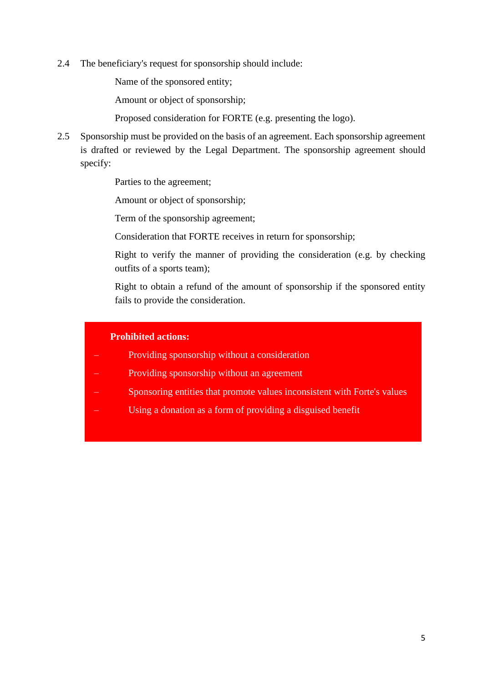2.4 The beneficiary's request for sponsorship should include:

Name of the sponsored entity;

– Amount or object of sponsorship;

– Proposed consideration for FORTE (e.g. presenting the logo).

2.5 Sponsorship must be provided on the basis of an agreement. Each sponsorship agreement is drafted or reviewed by the Legal Department. The sponsorship agreement should specify:

Parties to the agreement;

– Amount or object of sponsorship;

– Term of the sponsorship agreement;

– Consideration that FORTE receives in return for sponsorship;

– Right to verify the manner of providing the consideration (e.g. by checking outfits of a sports team);

– Right to obtain a refund of the amount of sponsorship if the sponsored entity fails to provide the consideration.

#### **Prohibited actions:**

- Providing sponsorship without a consideration
- Providing sponsorship without an agreement
- Sponsoring entities that promote values inconsistent with Forte's values
- Using a donation as a form of providing a disguised benefit